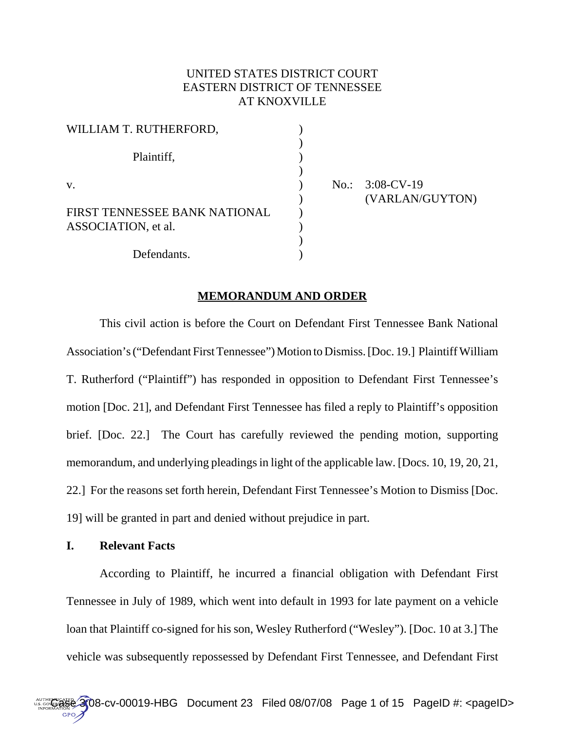# UNITED STATES DISTRICT COURT EASTERN DISTRICT OF TENNESSEE AT KNOXVILLE

| WILLIAM T. RUTHERFORD,                               |  |
|------------------------------------------------------|--|
| Plaintiff,                                           |  |
| V.                                                   |  |
| FIRST TENNESSEE BANK NATIONAL<br>ASSOCIATION, et al. |  |
| Defendants.                                          |  |

 $No.: 3:08-CV-19$ ) (VARLAN/GUYTON)

# **MEMORANDUM AND ORDER**

This civil action is before the Court on Defendant First Tennessee Bank National Association's ("Defendant First Tennessee") Motion to Dismiss. [Doc. 19.] Plaintiff William T. Rutherford ("Plaintiff") has responded in opposition to Defendant First Tennessee's motion [Doc. 21], and Defendant First Tennessee has filed a reply to Plaintiff's opposition brief. [Doc. 22.] The Court has carefully reviewed the pending motion, supporting memorandum, and underlying pleadings in light of the applicable law. [Docs. 10, 19, 20, 21, 22.] For the reasons set forth herein, Defendant First Tennessee's Motion to Dismiss [Doc. 19] will be granted in part and denied without prejudice in part.

### **I. Relevant Facts**

According to Plaintiff, he incurred a financial obligation with Defendant First Tennessee in July of 1989, which went into default in 1993 for late payment on a vehicle loan that Plaintiff co-signed for his son, Wesley Rutherford ("Wesley"). [Doc. 10 at 3.] The vehicle was subsequently repossessed by Defendant First Tennessee, and Defendant First

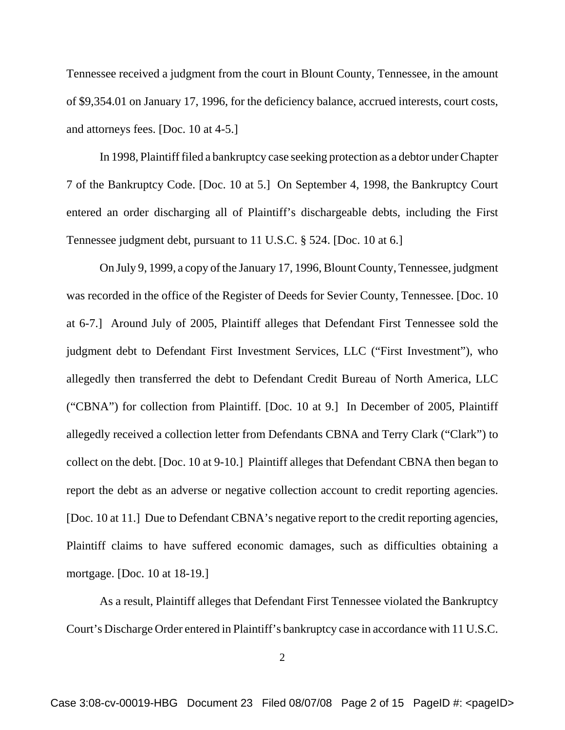Tennessee received a judgment from the court in Blount County, Tennessee, in the amount of \$9,354.01 on January 17, 1996, for the deficiency balance, accrued interests, court costs, and attorneys fees. [Doc. 10 at 4-5.]

In 1998, Plaintiff filed a bankruptcy case seeking protection as a debtor under Chapter 7 of the Bankruptcy Code. [Doc. 10 at 5.] On September 4, 1998, the Bankruptcy Court entered an order discharging all of Plaintiff's dischargeable debts, including the First Tennessee judgment debt, pursuant to 11 U.S.C. § 524. [Doc. 10 at 6.]

On July 9, 1999, a copy of the January 17, 1996, Blount County, Tennessee, judgment was recorded in the office of the Register of Deeds for Sevier County, Tennessee. [Doc. 10 at 6-7.] Around July of 2005, Plaintiff alleges that Defendant First Tennessee sold the judgment debt to Defendant First Investment Services, LLC ("First Investment"), who allegedly then transferred the debt to Defendant Credit Bureau of North America, LLC ("CBNA") for collection from Plaintiff. [Doc. 10 at 9.] In December of 2005, Plaintiff allegedly received a collection letter from Defendants CBNA and Terry Clark ("Clark") to collect on the debt. [Doc. 10 at 9-10.] Plaintiff alleges that Defendant CBNA then began to report the debt as an adverse or negative collection account to credit reporting agencies. [Doc. 10 at 11.] Due to Defendant CBNA's negative report to the credit reporting agencies, Plaintiff claims to have suffered economic damages, such as difficulties obtaining a mortgage. [Doc. 10 at 18-19.]

As a result, Plaintiff alleges that Defendant First Tennessee violated the Bankruptcy Court's Discharge Order entered in Plaintiff's bankruptcy case in accordance with 11 U.S.C.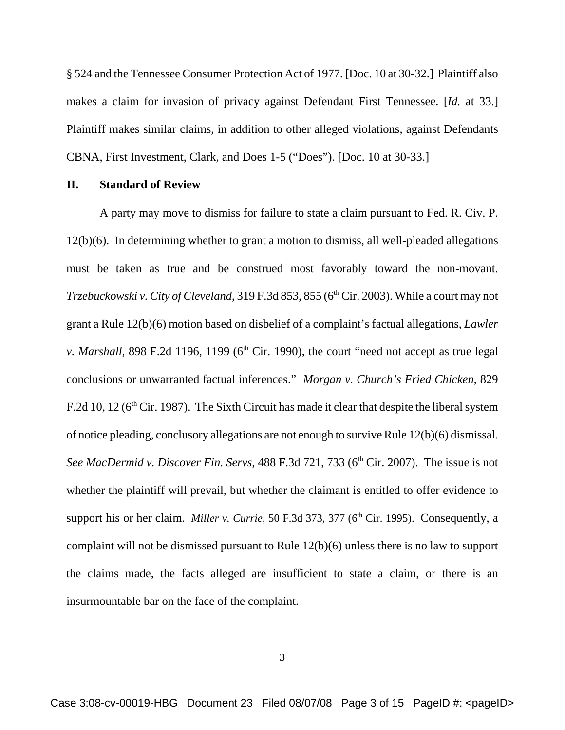§ 524 and the Tennessee Consumer Protection Act of 1977. [Doc. 10 at 30-32.] Plaintiff also makes a claim for invasion of privacy against Defendant First Tennessee. [*Id.* at 33.] Plaintiff makes similar claims, in addition to other alleged violations, against Defendants CBNA, First Investment, Clark, and Does 1-5 ("Does"). [Doc. 10 at 30-33.]

# **II. Standard of Review**

A party may move to dismiss for failure to state a claim pursuant to Fed. R. Civ. P. 12(b)(6). In determining whether to grant a motion to dismiss, all well-pleaded allegations must be taken as true and be construed most favorably toward the non-movant. *Trzebuckowski v. City of Cleveland*, 319 F.3d 853, 855 (6<sup>th</sup> Cir. 2003). While a court may not grant a Rule 12(b)(6) motion based on disbelief of a complaint's factual allegations, *Lawler v. Marshall*, 898 F.2d 1196, 1199 ( $6<sup>th</sup>$  Cir. 1990), the court "need not accept as true legal conclusions or unwarranted factual inferences." *Morgan v. Church's Fried Chicken*, 829 F.2d 10, 12 ( $6<sup>th</sup>$  Cir. 1987). The Sixth Circuit has made it clear that despite the liberal system of notice pleading, conclusory allegations are not enough to survive Rule 12(b)(6) dismissal. *See MacDermid v. Discover Fin. Servs,* 488 F.3d 721, 733 (6<sup>th</sup> Cir. 2007). The issue is not whether the plaintiff will prevail, but whether the claimant is entitled to offer evidence to support his or her claim. *Miller v. Currie*, 50 F.3d 373, 377 (6<sup>th</sup> Cir. 1995). Consequently, a complaint will not be dismissed pursuant to Rule 12(b)(6) unless there is no law to support the claims made, the facts alleged are insufficient to state a claim, or there is an insurmountable bar on the face of the complaint.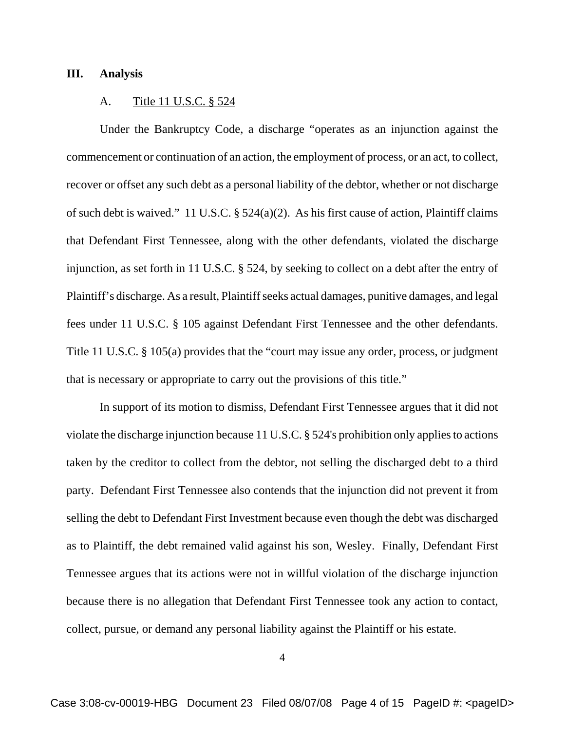#### **III. Analysis**

#### A. Title 11 U.S.C. § 524

Under the Bankruptcy Code, a discharge "operates as an injunction against the commencement or continuation of an action, the employment of process, or an act, to collect, recover or offset any such debt as a personal liability of the debtor, whether or not discharge of such debt is waived." 11 U.S.C. § 524(a)(2). As his first cause of action, Plaintiff claims that Defendant First Tennessee, along with the other defendants, violated the discharge injunction, as set forth in 11 U.S.C. § 524, by seeking to collect on a debt after the entry of Plaintiff's discharge. As a result, Plaintiff seeks actual damages, punitive damages, and legal fees under 11 U.S.C. § 105 against Defendant First Tennessee and the other defendants. Title 11 U.S.C. § 105(a) provides that the "court may issue any order, process, or judgment that is necessary or appropriate to carry out the provisions of this title."

In support of its motion to dismiss, Defendant First Tennessee argues that it did not violate the discharge injunction because 11 U.S.C. § 524's prohibition only applies to actions taken by the creditor to collect from the debtor, not selling the discharged debt to a third party. Defendant First Tennessee also contends that the injunction did not prevent it from selling the debt to Defendant First Investment because even though the debt was discharged as to Plaintiff, the debt remained valid against his son, Wesley. Finally, Defendant First Tennessee argues that its actions were not in willful violation of the discharge injunction because there is no allegation that Defendant First Tennessee took any action to contact, collect, pursue, or demand any personal liability against the Plaintiff or his estate.

4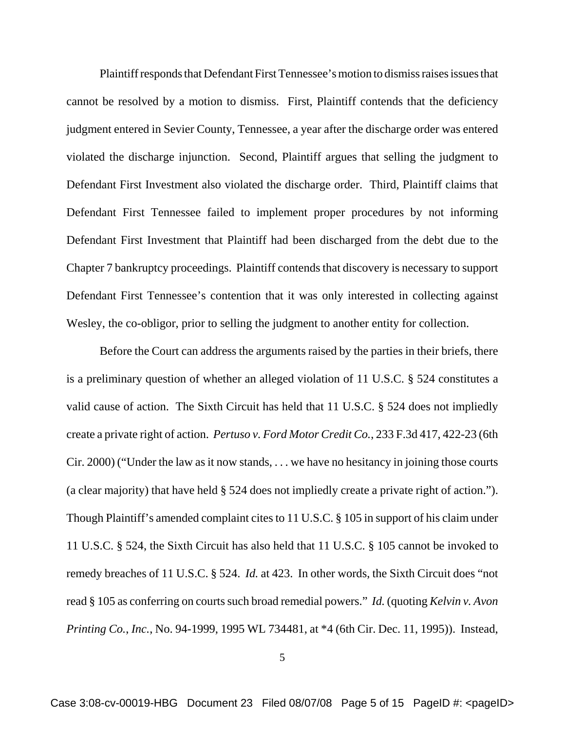Plaintiff responds that Defendant First Tennessee's motion to dismiss raises issues that cannot be resolved by a motion to dismiss. First, Plaintiff contends that the deficiency judgment entered in Sevier County, Tennessee, a year after the discharge order was entered violated the discharge injunction. Second, Plaintiff argues that selling the judgment to Defendant First Investment also violated the discharge order. Third, Plaintiff claims that Defendant First Tennessee failed to implement proper procedures by not informing Defendant First Investment that Plaintiff had been discharged from the debt due to the Chapter 7 bankruptcy proceedings. Plaintiff contends that discovery is necessary to support Defendant First Tennessee's contention that it was only interested in collecting against Wesley, the co-obligor, prior to selling the judgment to another entity for collection.

Before the Court can address the arguments raised by the parties in their briefs, there is a preliminary question of whether an alleged violation of 11 U.S.C. § 524 constitutes a valid cause of action. The Sixth Circuit has held that 11 U.S.C. § 524 does not impliedly create a private right of action. *Pertuso v. Ford Motor Credit Co.*, 233 F.3d 417, 422-23 (6th Cir. 2000) ("Under the law as it now stands, . . . we have no hesitancy in joining those courts (a clear majority) that have held § 524 does not impliedly create a private right of action."). Though Plaintiff's amended complaint cites to 11 U.S.C. § 105 in support of his claim under 11 U.S.C. § 524, the Sixth Circuit has also held that 11 U.S.C. § 105 cannot be invoked to remedy breaches of 11 U.S.C. § 524. *Id.* at 423. In other words, the Sixth Circuit does "not read § 105 as conferring on courts such broad remedial powers." *Id.* (quoting *Kelvin v. Avon Printing Co.*, *Inc.*, No. 94-1999, 1995 WL 734481, at \*4 (6th Cir. Dec. 11, 1995)). Instead,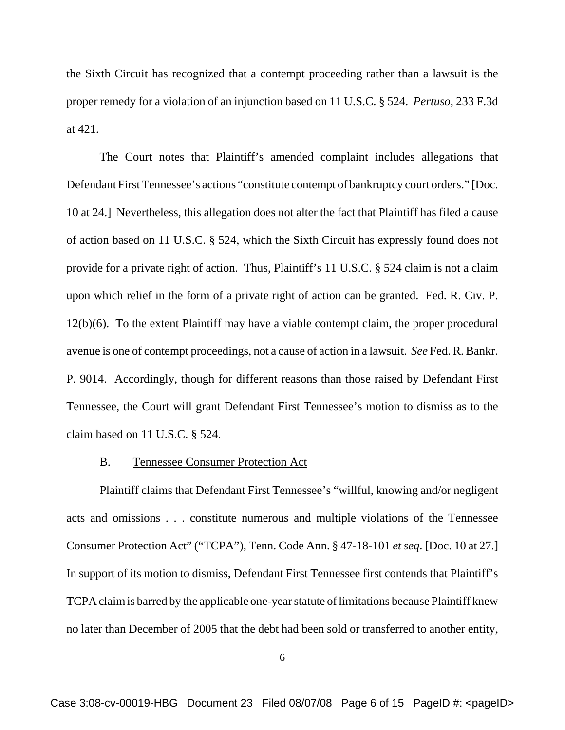the Sixth Circuit has recognized that a contempt proceeding rather than a lawsuit is the proper remedy for a violation of an injunction based on 11 U.S.C. § 524. *Pertuso*, 233 F.3d at 421.

The Court notes that Plaintiff's amended complaint includes allegations that Defendant First Tennessee's actions "constitute contempt of bankruptcy court orders." [Doc. 10 at 24.] Nevertheless, this allegation does not alter the fact that Plaintiff has filed a cause of action based on 11 U.S.C. § 524, which the Sixth Circuit has expressly found does not provide for a private right of action. Thus, Plaintiff's 11 U.S.C. § 524 claim is not a claim upon which relief in the form of a private right of action can be granted. Fed. R. Civ. P. 12(b)(6). To the extent Plaintiff may have a viable contempt claim, the proper procedural avenue is one of contempt proceedings, not a cause of action in a lawsuit. *See* Fed. R. Bankr. P. 9014. Accordingly, though for different reasons than those raised by Defendant First Tennessee, the Court will grant Defendant First Tennessee's motion to dismiss as to the claim based on 11 U.S.C. § 524.

#### B. Tennessee Consumer Protection Act

Plaintiff claims that Defendant First Tennessee's "willful, knowing and/or negligent acts and omissions . . . constitute numerous and multiple violations of the Tennessee Consumer Protection Act" ("TCPA"), Tenn. Code Ann. § 47-18-101 *et seq*. [Doc. 10 at 27.] In support of its motion to dismiss, Defendant First Tennessee first contends that Plaintiff's TCPA claim is barred by the applicable one-year statute of limitations because Plaintiff knew no later than December of 2005 that the debt had been sold or transferred to another entity,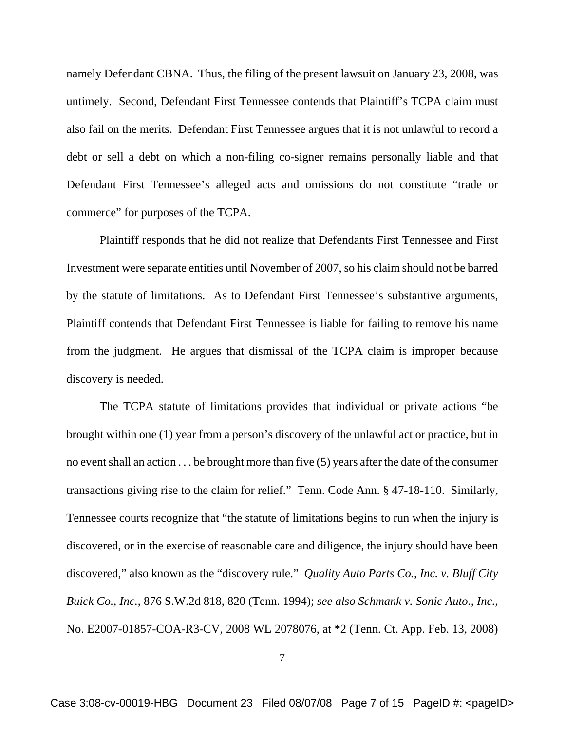namely Defendant CBNA. Thus, the filing of the present lawsuit on January 23, 2008, was untimely. Second, Defendant First Tennessee contends that Plaintiff's TCPA claim must also fail on the merits. Defendant First Tennessee argues that it is not unlawful to record a debt or sell a debt on which a non-filing co-signer remains personally liable and that Defendant First Tennessee's alleged acts and omissions do not constitute "trade or commerce" for purposes of the TCPA.

Plaintiff responds that he did not realize that Defendants First Tennessee and First Investment were separate entities until November of 2007, so his claim should not be barred by the statute of limitations. As to Defendant First Tennessee's substantive arguments, Plaintiff contends that Defendant First Tennessee is liable for failing to remove his name from the judgment. He argues that dismissal of the TCPA claim is improper because discovery is needed.

The TCPA statute of limitations provides that individual or private actions "be brought within one (1) year from a person's discovery of the unlawful act or practice, but in no event shall an action . . . be brought more than five (5) years after the date of the consumer transactions giving rise to the claim for relief." Tenn. Code Ann. § 47-18-110. Similarly, Tennessee courts recognize that "the statute of limitations begins to run when the injury is discovered, or in the exercise of reasonable care and diligence, the injury should have been discovered," also known as the "discovery rule." *Quality Auto Parts Co., Inc. v. Bluff City Buick Co., Inc.*, 876 S.W.2d 818, 820 (Tenn. 1994); *see also Schmank v. Sonic Auto., Inc.*, No. E2007-01857-COA-R3-CV, 2008 WL 2078076, at \*2 (Tenn. Ct. App. Feb. 13, 2008)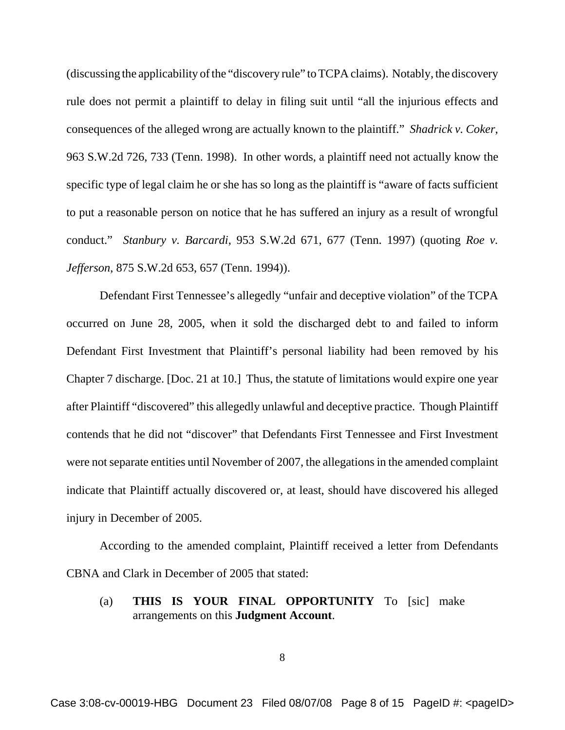(discussing the applicability of the "discovery rule" to TCPA claims). Notably, the discovery rule does not permit a plaintiff to delay in filing suit until "all the injurious effects and consequences of the alleged wrong are actually known to the plaintiff." *Shadrick v. Coker*, 963 S.W.2d 726, 733 (Tenn. 1998). In other words, a plaintiff need not actually know the specific type of legal claim he or she has so long as the plaintiff is "aware of facts sufficient to put a reasonable person on notice that he has suffered an injury as a result of wrongful conduct." *Stanbury v. Barcardi*, 953 S.W.2d 671, 677 (Tenn. 1997) (quoting *Roe v. Jefferson*, 875 S.W.2d 653, 657 (Tenn. 1994)).

Defendant First Tennessee's allegedly "unfair and deceptive violation" of the TCPA occurred on June 28, 2005, when it sold the discharged debt to and failed to inform Defendant First Investment that Plaintiff's personal liability had been removed by his Chapter 7 discharge. [Doc. 21 at 10.] Thus, the statute of limitations would expire one year after Plaintiff "discovered" this allegedly unlawful and deceptive practice. Though Plaintiff contends that he did not "discover" that Defendants First Tennessee and First Investment were not separate entities until November of 2007, the allegations in the amended complaint indicate that Plaintiff actually discovered or, at least, should have discovered his alleged injury in December of 2005.

According to the amended complaint, Plaintiff received a letter from Defendants CBNA and Clark in December of 2005 that stated:

(a) **THIS IS YOUR FINAL OPPORTUNITY** To [sic] make arrangements on this **Judgment Account**.

8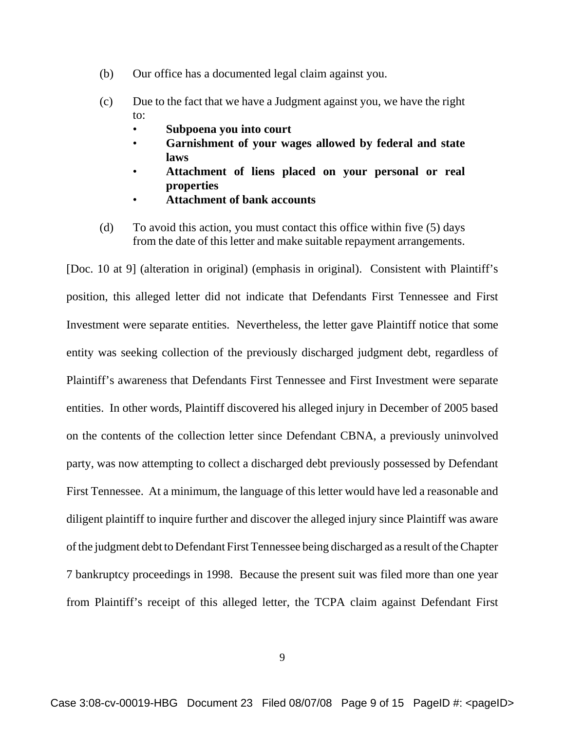- (b) Our office has a documented legal claim against you.
- (c) Due to the fact that we have a Judgment against you, we have the right to:
	- **Subpoena you into court**
	- **Garnishment of your wages allowed by federal and state laws**
	- **Attachment of liens placed on your personal or real properties**
	- **Attachment of bank accounts**
- (d) To avoid this action, you must contact this office within five (5) days from the date of this letter and make suitable repayment arrangements.

[Doc. 10 at 9] (alteration in original) (emphasis in original). Consistent with Plaintiff's position, this alleged letter did not indicate that Defendants First Tennessee and First Investment were separate entities. Nevertheless, the letter gave Plaintiff notice that some entity was seeking collection of the previously discharged judgment debt, regardless of Plaintiff's awareness that Defendants First Tennessee and First Investment were separate entities. In other words, Plaintiff discovered his alleged injury in December of 2005 based on the contents of the collection letter since Defendant CBNA, a previously uninvolved party, was now attempting to collect a discharged debt previously possessed by Defendant First Tennessee. At a minimum, the language of this letter would have led a reasonable and diligent plaintiff to inquire further and discover the alleged injury since Plaintiff was aware of the judgment debt to Defendant First Tennessee being discharged as a result of the Chapter 7 bankruptcy proceedings in 1998. Because the present suit was filed more than one year from Plaintiff's receipt of this alleged letter, the TCPA claim against Defendant First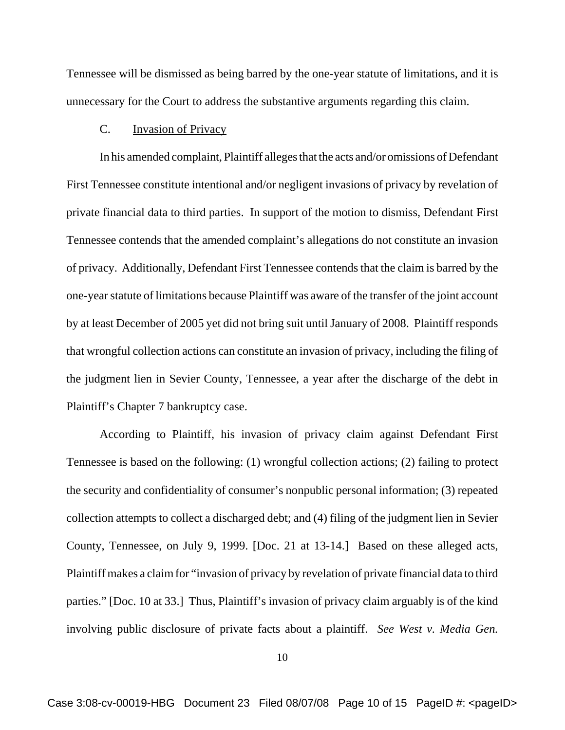Tennessee will be dismissed as being barred by the one-year statute of limitations, and it is unnecessary for the Court to address the substantive arguments regarding this claim.

### C. Invasion of Privacy

In his amended complaint, Plaintiff alleges that the acts and/or omissions of Defendant First Tennessee constitute intentional and/or negligent invasions of privacy by revelation of private financial data to third parties. In support of the motion to dismiss, Defendant First Tennessee contends that the amended complaint's allegations do not constitute an invasion of privacy. Additionally, Defendant First Tennessee contends that the claim is barred by the one-year statute of limitations because Plaintiff was aware of the transfer of the joint account by at least December of 2005 yet did not bring suit until January of 2008. Plaintiff responds that wrongful collection actions can constitute an invasion of privacy, including the filing of the judgment lien in Sevier County, Tennessee, a year after the discharge of the debt in Plaintiff's Chapter 7 bankruptcy case.

According to Plaintiff, his invasion of privacy claim against Defendant First Tennessee is based on the following: (1) wrongful collection actions; (2) failing to protect the security and confidentiality of consumer's nonpublic personal information; (3) repeated collection attempts to collect a discharged debt; and (4) filing of the judgment lien in Sevier County, Tennessee, on July 9, 1999. [Doc. 21 at 13-14.] Based on these alleged acts, Plaintiff makes a claim for "invasion of privacy by revelation of private financial data to third parties." [Doc. 10 at 33.] Thus, Plaintiff's invasion of privacy claim arguably is of the kind involving public disclosure of private facts about a plaintiff. *See West v. Media Gen.*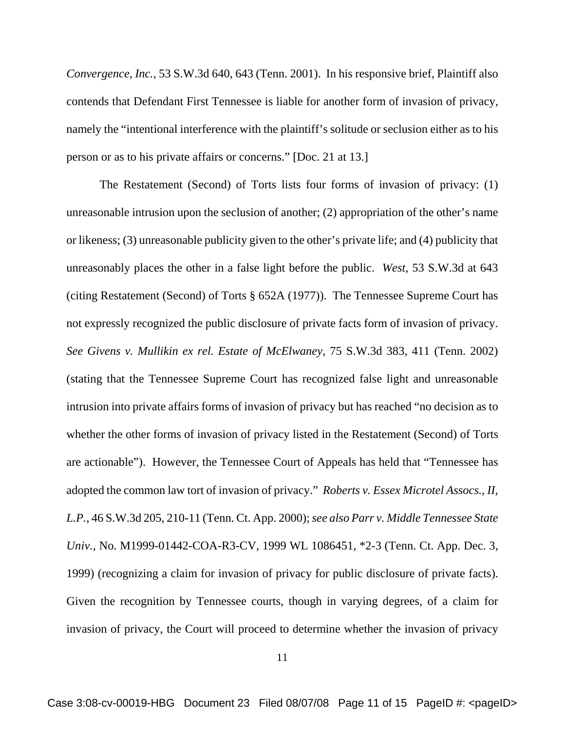*Convergence, Inc.*, 53 S.W.3d 640, 643 (Tenn. 2001). In his responsive brief, Plaintiff also contends that Defendant First Tennessee is liable for another form of invasion of privacy, namely the "intentional interference with the plaintiff's solitude or seclusion either as to his person or as to his private affairs or concerns." [Doc. 21 at 13.]

The Restatement (Second) of Torts lists four forms of invasion of privacy: (1) unreasonable intrusion upon the seclusion of another; (2) appropriation of the other's name or likeness; (3) unreasonable publicity given to the other's private life; and (4) publicity that unreasonably places the other in a false light before the public. *West*, 53 S.W.3d at 643 (citing Restatement (Second) of Torts § 652A (1977)). The Tennessee Supreme Court has not expressly recognized the public disclosure of private facts form of invasion of privacy. *See Givens v. Mullikin ex rel. Estate of McElwaney*, 75 S.W.3d 383, 411 (Tenn. 2002) (stating that the Tennessee Supreme Court has recognized false light and unreasonable intrusion into private affairs forms of invasion of privacy but has reached "no decision as to whether the other forms of invasion of privacy listed in the Restatement (Second) of Torts are actionable"). However, the Tennessee Court of Appeals has held that "Tennessee has adopted the common law tort of invasion of privacy." *Roberts v. Essex Microtel Assocs., II, L.P.*, 46 S.W.3d 205, 210-11 (Tenn. Ct. App. 2000); *see also Parr v. Middle Tennessee State Univ.*, No. M1999-01442-COA-R3-CV, 1999 WL 1086451, \*2-3 (Tenn. Ct. App. Dec. 3, 1999) (recognizing a claim for invasion of privacy for public disclosure of private facts). Given the recognition by Tennessee courts, though in varying degrees, of a claim for invasion of privacy, the Court will proceed to determine whether the invasion of privacy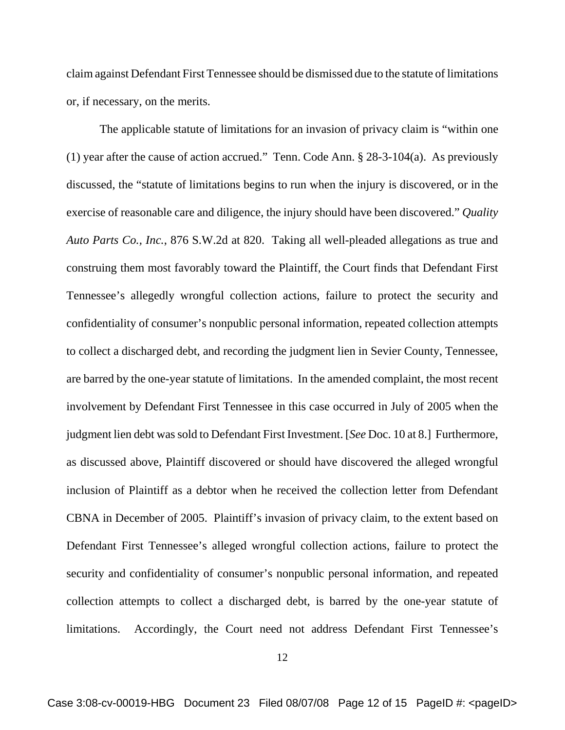claim against Defendant First Tennessee should be dismissed due to the statute of limitations or, if necessary, on the merits.

The applicable statute of limitations for an invasion of privacy claim is "within one (1) year after the cause of action accrued." Tenn. Code Ann. § 28-3-104(a). As previously discussed, the "statute of limitations begins to run when the injury is discovered, or in the exercise of reasonable care and diligence, the injury should have been discovered." *Quality Auto Parts Co., Inc.*, 876 S.W.2d at 820. Taking all well-pleaded allegations as true and construing them most favorably toward the Plaintiff, the Court finds that Defendant First Tennessee's allegedly wrongful collection actions, failure to protect the security and confidentiality of consumer's nonpublic personal information, repeated collection attempts to collect a discharged debt, and recording the judgment lien in Sevier County, Tennessee, are barred by the one-year statute of limitations. In the amended complaint, the most recent involvement by Defendant First Tennessee in this case occurred in July of 2005 when the judgment lien debt was sold to Defendant First Investment. [*See* Doc. 10 at 8.] Furthermore, as discussed above, Plaintiff discovered or should have discovered the alleged wrongful inclusion of Plaintiff as a debtor when he received the collection letter from Defendant CBNA in December of 2005. Plaintiff's invasion of privacy claim, to the extent based on Defendant First Tennessee's alleged wrongful collection actions, failure to protect the security and confidentiality of consumer's nonpublic personal information, and repeated collection attempts to collect a discharged debt, is barred by the one-year statute of limitations. Accordingly, the Court need not address Defendant First Tennessee's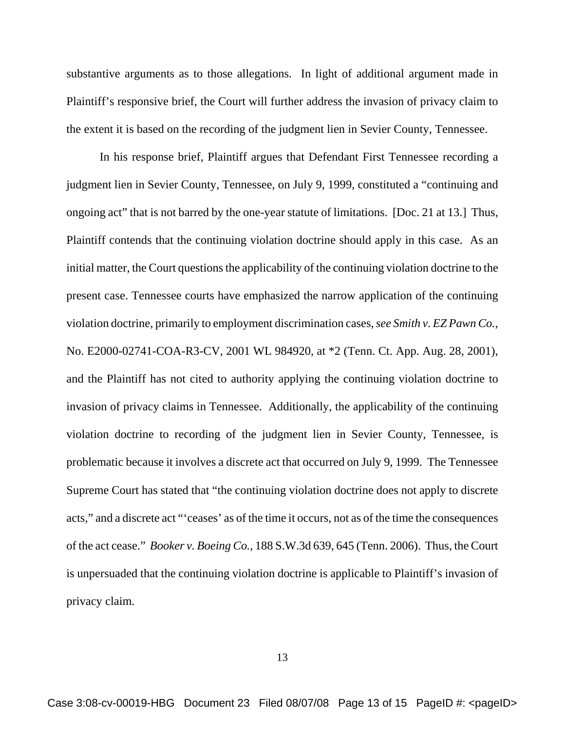substantive arguments as to those allegations. In light of additional argument made in Plaintiff's responsive brief, the Court will further address the invasion of privacy claim to the extent it is based on the recording of the judgment lien in Sevier County, Tennessee.

In his response brief, Plaintiff argues that Defendant First Tennessee recording a judgment lien in Sevier County, Tennessee, on July 9, 1999, constituted a "continuing and ongoing act" that is not barred by the one-year statute of limitations. [Doc. 21 at 13.] Thus, Plaintiff contends that the continuing violation doctrine should apply in this case. As an initial matter, the Court questions the applicability of the continuing violation doctrine to the present case. Tennessee courts have emphasized the narrow application of the continuing violation doctrine, primarily to employment discrimination cases, *see Smith v. EZ Pawn Co.*, No. E2000-02741-COA-R3-CV, 2001 WL 984920, at \*2 (Tenn. Ct. App. Aug. 28, 2001), and the Plaintiff has not cited to authority applying the continuing violation doctrine to invasion of privacy claims in Tennessee. Additionally, the applicability of the continuing violation doctrine to recording of the judgment lien in Sevier County, Tennessee, is problematic because it involves a discrete act that occurred on July 9, 1999. The Tennessee Supreme Court has stated that "the continuing violation doctrine does not apply to discrete acts," and a discrete act "'ceases' as of the time it occurs, not as of the time the consequences of the act cease." *Booker v. Boeing Co.*, 188 S.W.3d 639, 645 (Tenn. 2006). Thus, the Court is unpersuaded that the continuing violation doctrine is applicable to Plaintiff's invasion of privacy claim.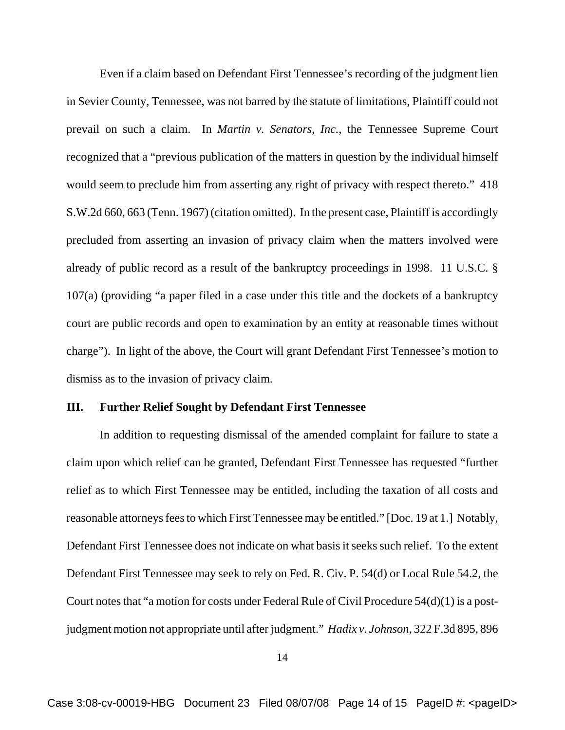Even if a claim based on Defendant First Tennessee's recording of the judgment lien in Sevier County, Tennessee, was not barred by the statute of limitations, Plaintiff could not prevail on such a claim. In *Martin v. Senators, Inc.*, the Tennessee Supreme Court recognized that a "previous publication of the matters in question by the individual himself would seem to preclude him from asserting any right of privacy with respect thereto." 418 S.W.2d 660, 663 (Tenn. 1967) (citation omitted). In the present case, Plaintiff is accordingly precluded from asserting an invasion of privacy claim when the matters involved were already of public record as a result of the bankruptcy proceedings in 1998. 11 U.S.C. § 107(a) (providing "a paper filed in a case under this title and the dockets of a bankruptcy court are public records and open to examination by an entity at reasonable times without charge"). In light of the above, the Court will grant Defendant First Tennessee's motion to dismiss as to the invasion of privacy claim.

#### **III. Further Relief Sought by Defendant First Tennessee**

In addition to requesting dismissal of the amended complaint for failure to state a claim upon which relief can be granted, Defendant First Tennessee has requested "further relief as to which First Tennessee may be entitled, including the taxation of all costs and reasonable attorneys fees to which First Tennessee may be entitled." [Doc. 19 at 1.] Notably, Defendant First Tennessee does not indicate on what basis it seeks such relief. To the extent Defendant First Tennessee may seek to rely on Fed. R. Civ. P. 54(d) or Local Rule 54.2, the Court notes that "a motion for costs under Federal Rule of Civil Procedure 54(d)(1) is a postjudgment motion not appropriate until after judgment." *Hadix v. Johnson*, 322 F.3d 895, 896